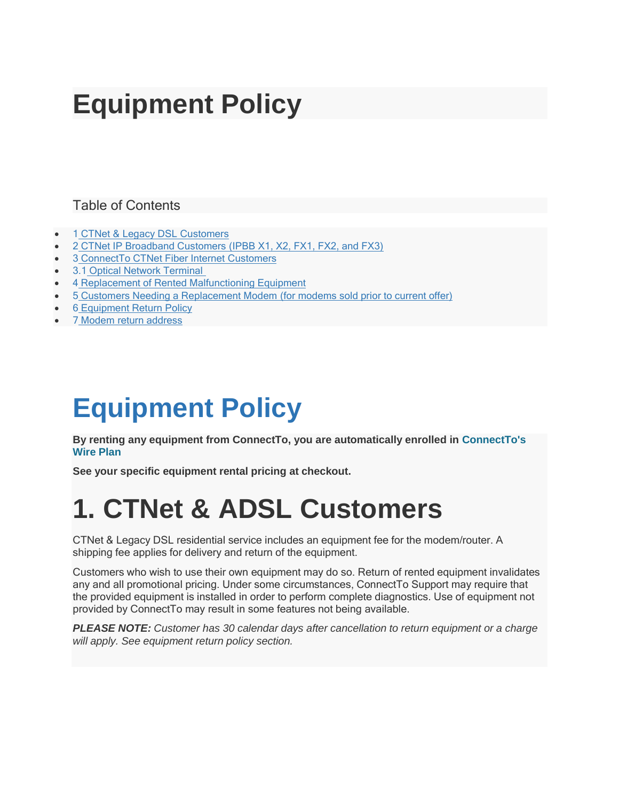## **Equipment Policy**

#### Table of Contents

- 1 CTNet & Legacy DSL [Customers](https://help.sonic.com/hc/en-us/articles/236030007-Equipment-Policy#fusion_%26_legacy_dsl_customers)
- 2 CTNet IP [Broadband Customers](https://help.sonic.com/hc/en-us/articles/236030007-Equipment-Policy#fusion_ip_broadband_customers_(ipbb_x1%2C_x2%2C_fx1%2C_fx2%2C_and_fx3)) (IPBB X1, X2, FX1, FX2, and FX3)
- 3 [ConnectTo CTNet Fiber Internet](https://help.sonic.com/hc/en-us/articles/236030007-Equipment-Policy#sonic_fusion_fiber_internet_customers) Customers
- 3.1 Optical [Network Terminal](https://help.sonic.com/hc/en-us/articles/236030007-Equipment-Policy#optical_network_terminal)
- 4 Replacement of [Rented Malfunctioning Equipment](https://help.sonic.com/hc/en-us/articles/236030007-Equipment-Policy#replacement_of_rented_malfunctioning_equipment)
- 5 Customers [Needing a Replacement Modem](https://help.sonic.com/hc/en-us/articles/236030007-Equipment-Policy#customers_needing_a_replacement_modem_(for_modems_sold_prior_to_current_offer)) (for modems sold prior to current offer)
- 6 [Equipment](https://help.sonic.com/hc/en-us/articles/236030007-Equipment-Policy#equipment_return_policy) Return Policy
- 7 Modem return [address](https://help.sonic.com/hc/en-us/articles/236030007-Equipment-Policy#modem_return_address)

## **Equipment Policy**

**By renting any equipment from ConnectTo, you are automatically enrolled in [ConnectTo's](https://help.sonic.com/hc/en-us/articles/235967608-Sonic-Wire-Plan) [Wire](https://help.sonic.com/hc/en-us/articles/235967608-Sonic-Wire-Plan) Plan**

**See your specific equipment rental pricing at checkout.**

## **1. CTNet & ADSL Customers**

CTNet & Legacy DSL residential service includes an equipment fee for the modem/router. A shipping fee applies for delivery and return of the equipment.

Customers who wish to use their own equipment may do so. Return of rented equipment invalidates any and all promotional pricing. Under some circumstances, ConnectTo Support may require that the provided equipment is installed in order to perform complete diagnostics. Use of equipment not provided by ConnectTo may result in some features not being available.

*PLEASE NOTE: Customer has 30 calendar days after cancellation to return equipment or a charge will apply. See equipment return policy section.*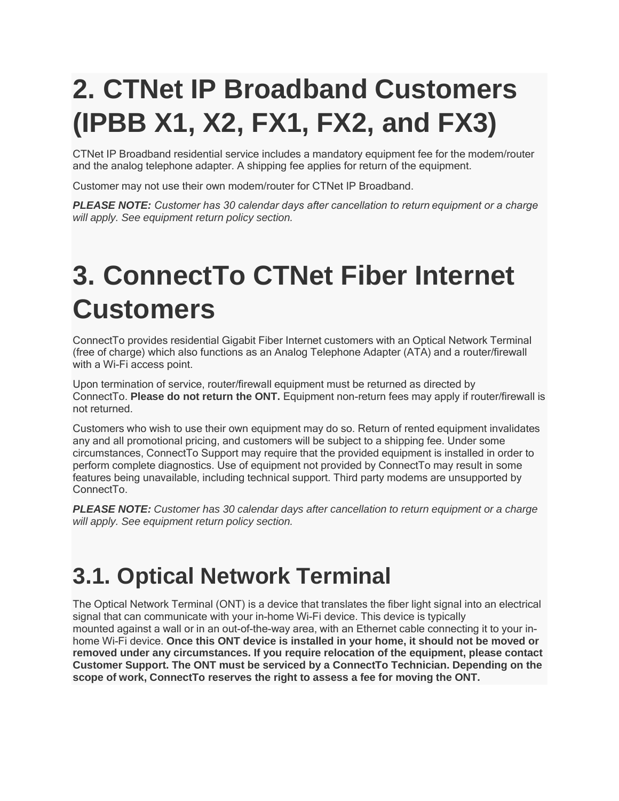# **2. CTNet IP Broadband Customers (IPBB X1, X2, FX1, FX2, and FX3)**

CTNet IP Broadband residential service includes a mandatory equipment fee for the modem/router and the analog telephone adapter. A shipping fee applies for return of the equipment.

Customer may not use their own modem/router for CTNet IP Broadband.

*PLEASE NOTE: Customer has 30 calendar days after cancellation to return equipment or a charge will apply. See equipment return policy section.*

## **3. ConnectTo CTNet Fiber Internet Customers**

ConnectTo provides residential Gigabit Fiber Internet customers with an Optical Network Terminal (free of charge) which also functions as an Analog Telephone Adapter (ATA) and a router/firewall with a Wi-Fi access point.

Upon termination of service, router/firewall equipment must be returned as directed by ConnectTo. **Please do not return the ONT.** Equipment non-return fees may apply if router/firewall is not returned.

Customers who wish to use their own equipment may do so. Return of rented equipment invalidates any and all promotional pricing, and customers will be subject to a shipping fee. Under some circumstances, ConnectTo Support may require that the provided equipment is installed in order to perform complete diagnostics. Use of equipment not provided by ConnectTo may result in some features being unavailable, including technical support. Third party modems are unsupported by ConnectTo.

*PLEASE NOTE: Customer has 30 calendar days after cancellation to return equipment or a charge will apply. See equipment return policy section.*

#### **3.1. Optical Network Terminal**

The Optical Network Terminal (ONT) is a device that translates the fiber light signal into an electrical signal that can communicate with your in-home Wi-Fi device. This device is typically mounted against a wall or in an out-of-the-way area, with an Ethernet cable connecting it to your inhome Wi-Fi device. **Once this ONT device is installed in your home, it should not be moved or removed under any circumstances. If you require relocation of the equipment, please contact Customer Support. The ONT must be serviced by a ConnectTo Technician. Depending on the scope of work, ConnectTo reserves the right to assess a fee for moving the ONT.**